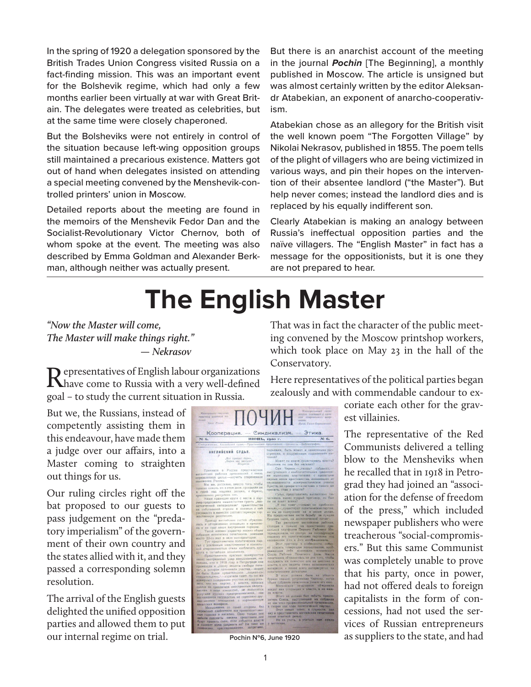In the spring of 1920 a delegation sponsored by the British Trades Union Congress visited Russia on a fact-finding mission. This was an important event for the Bolshevik regime, which had only a few months earlier been virtually at war with Great Britain. The delegates were treated as celebrities, but at the same time were closely chaperoned.

But the Bolsheviks were not entirely in control of the situation because left-wing opposition groups still maintained a precarious existence. Matters got out of hand when delegates insisted on attending a special meeting convened by the Menshevik-controlled printers' union in Moscow.

Detailed reports about the meeting are found in the memoirs of the Menshevik Fedor Dan and the Socialist-Revolutionary Victor Chernov, both of whom spoke at the event. The meeting was also described by Emma Goldman and Alexander Berkman, although neither was actually present.

But there is an anarchist account of the meeting in the journal *Pochin* [The Beginning], a monthly published in Moscow. The article is unsigned but was almost certainly written by the editor Aleksandr Atabekian, an exponent of anarcho-cooperativism.

Atabekian chose as an allegory for the British visit the well known poem "The Forgotten Village" by Nikolai Nekrasov, published in 1855. The poem tells of the plight of villagers who are being victimized in various ways, and pin their hopes on the intervention of their absentee landlord ("the Master"). But help never comes; instead the landlord dies and is replaced by his equally indifferent son.

Clearly Atabekian is making an analogy between Russia's ineffectual opposition parties and the naïve villagers. The "English Master" in fact has a message for the oppositionists, but it is one they are not prepared to hear.

## **The English Master**

*"Now the Master will come, The Master will make things right." — Nekrasov*

Representatives of English labour organizations have come to Russia with a very well-defined goal – to study the current situation in Russia.

But we, the Russians, instead of competently assisting them in this endeavour, have made them a judge over our affairs, into a Master coming to straighten out things for us.

Our ruling circles right off the bat proposed to our guests to pass judgement on the "predatory imperialism" of the government of their own country and the states allied with it, and they passed a corresponding solemn resolution.

The arrival of the English guests delighted the unified opposition parties and allowed them to put our internal regime on trial.



That was in fact the character of the public meeting convened by the Moscow printshop workers, which took place on May 23 in the hall of the Conservatory.

Here representatives of the political parties began zealously and with commendable candour to ex-

> coriate each other for the gravest villainies.

The representative of the Red Communists delivered a telling blow to the Mensheviks when he recalled that in 1918 in Petrograd they had joined an "association for the defense of freedom of the press," which included newspaper publishers who were treacherous "social-compromisers." But this same Communist was completely unable to prove that his party, once in power, had not offered deals to foreign capitalists in the form of concessions, had not used the services of Russian entrepreneurs **Pochin №6, June 1920** as suppliers to the state, and had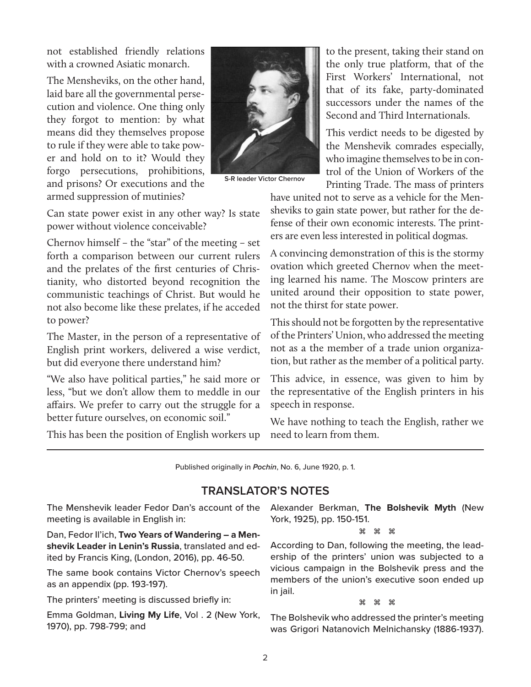not established friendly relations with a crowned Asiatic monarch.

The Mensheviks, on the other hand, laid bare all the governmental persecution and violence. One thing only they forgot to mention: by what means did they themselves propose to rule if they were able to take power and hold on to it? Would they forgo persecutions, prohibitions, and prisons? Or executions and the armed suppression of mutinies?



**S-R leader Victor Chernov**

Can state power exist in any other way? Is state power without violence conceivable?

Chernov himself – the "star" of the meeting – set forth a comparison between our current rulers and the prelates of the first centuries of Christianity, who distorted beyond recognition the communistic teachings of Christ. But would he not also become like these prelates, if he acceded to power?

The Master, in the person of a representative of English print workers, delivered a wise verdict, but did everyone there understand him?

"We also have political parties," he said more or less, "but we don't allow them to meddle in our affairs. We prefer to carry out the struggle for a better future ourselves, on economic soil."

This has been the position of English workers up

to the present, taking their stand on the only true platform, that of the First Workers' International, not that of its fake, party-dominated successors under the names of the Second and Third Internationals.

This verdict needs to be digested by the Menshevik comrades especially, who imagine themselves to be in control of the Union of Workers of the Printing Trade. The mass of printers

have united not to serve as a vehicle for the Mensheviks to gain state power, but rather for the defense of their own economic interests. The printers are even less interested in political dogmas.

A convincing demonstration of this is the stormy ovation which greeted Chernov when the meeting learned his name. The Moscow printers are united around their opposition to state power, not the thirst for state power.

This should not be forgotten by the representative of the Printers' Union, who addressed the meeting not as a the member of a trade union organization, but rather as the member of a political party.

This advice, in essence, was given to him by the representative of the English printers in his speech in response.

We have nothing to teach the English, rather we need to learn from them.

Published originally in *Pochin*, No. 6, June 1920, p. 1.

## **TRANSLATOR'S NOTES**

The Menshevik leader Fedor Dan's account of the Alexander Berkman, **The Bolshevik Myth** (New meeting is available in English in:

Dan, Fedor Il'ich, **Two Years of Wandering – a Menshevik Leader in Lenin's Russia**, translated and edited by Francis King, (London, 2016), pp. 46-50.

The same book contains Victor Chernov's speech as an appendix (pp. 193-197).

The printers' meeting is discussed briefly in:

Emma Goldman, **Living My Life**, Vol . 2 (New York, 1970), pp. 798-799; and

York, 1925), pp. 150-151.

 $\mathbb H$ 

According to Dan, following the meeting, the leadership of the printers' union was subjected to a vicious campaign in the Bolshevik press and the members of the union's executive soon ended up in jail.

क्त क क

The Bolshevik who addressed the printer's meeting was Grigori Natanovich Melnichansky (1886-1937).